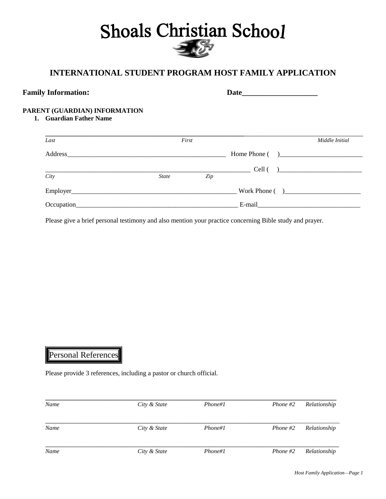# **Shoals Christian School**

# **INTERNATIONAL STUDENT PROGRAM HOST FAMILY APPLICATION**

| <b>Family Information:</b>                               |              |       |               |                |
|----------------------------------------------------------|--------------|-------|---------------|----------------|
| PARENT (GUARDIAN) INFORMATION<br>1. Guardian Father Name |              |       |               |                |
| Last                                                     |              | First |               | Middle Initial |
|                                                          |              |       |               |                |
|                                                          |              |       |               | $Cell$ ( )     |
| City                                                     | <b>State</b> | Zip   |               |                |
| Employer                                                 |              |       | Work Phone () |                |

Please give a brief personal testimony and also mention your practice concerning Bible study and prayer.

 $Occupation$   $E$ -mail

# Personal References

Please provide 3 references, including a pastor or church official.

| Name | City & State | Phone#1 | Phone $#2$ | Relationship |
|------|--------------|---------|------------|--------------|
| Name | City & State | Phone#1 | Phone #2   | Relationship |
| Name | City & State | Phone#1 | Phone $#2$ | Relationship |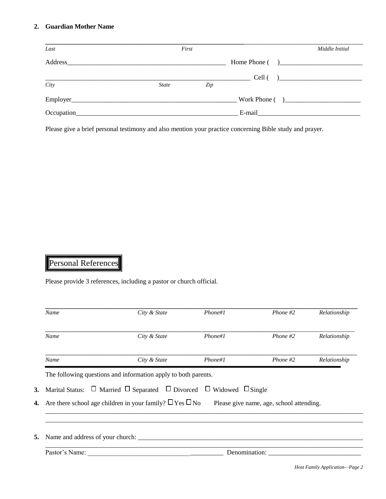#### **2. Guardian Mother Name**

| Last              | First                                                                                                                |     |                  | Middle Initial |
|-------------------|----------------------------------------------------------------------------------------------------------------------|-----|------------------|----------------|
| Address           |                                                                                                                      |     |                  |                |
| $\overline{City}$ | <b>State</b>                                                                                                         | Zip |                  | $Cell$ ( )     |
|                   |                                                                                                                      |     | Work Phone $($ ) |                |
| Occupation_       | <u>a sa salah sahiji désa di kacamatan Sabudu Kabupatén Barat,  Pada Barat,  Pada Barat,  Pada Barat,  Pada Bara</u> |     |                  |                |

Please give a brief personal testimony and also mention your practice concerning Bible study and prayer.

# Personal References

Please provide 3 references, including a pastor or church official.

| Name                                | City & State                                                                                           | Phone#1 | Phone $#2$                               | Relationship |
|-------------------------------------|--------------------------------------------------------------------------------------------------------|---------|------------------------------------------|--------------|
| Name                                | City & State                                                                                           | Phone#1 | Phone $#2$                               | Relationship |
| Name                                | City & State                                                                                           | Phone#1 | Phone $#2$                               | Relationship |
|                                     | The following questions and information apply to both parents.                                         |         |                                          |              |
|                                     | <b>3.</b> Marital Status: $\Box$ Married $\Box$ Separated $\Box$ Divorced $\Box$ Widowed $\Box$ Single |         |                                          |              |
|                                     | <b>4.</b> Are there school age children in your family? $\Box$ Yes $\Box$ No                           |         | Please give name, age, school attending. |              |
|                                     |                                                                                                        |         |                                          |              |
| 5. Name and address of your church: |                                                                                                        |         |                                          |              |
| Pastor's Name:                      |                                                                                                        |         | Denomination:                            |              |

*Host Family Application—Page 2*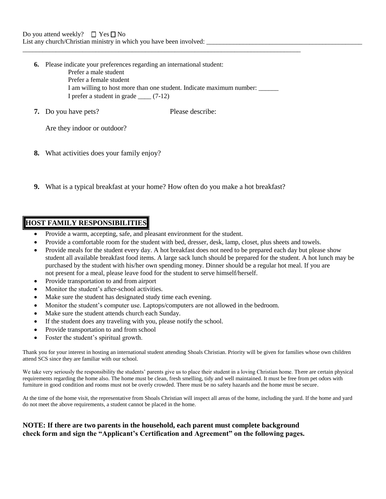- **6.** Please indicate your preferences regarding an international student:
	- Prefer a male student
	- Prefer a female student
	- I am willing to host more than one student. Indicate maximum number: I prefer a student in grade \_\_\_\_ (7-12)

 $\_$  ,  $\_$  ,  $\_$  ,  $\_$  ,  $\_$  ,  $\_$  ,  $\_$  ,  $\_$  ,  $\_$  ,  $\_$  ,  $\_$  ,  $\_$  ,  $\_$  ,  $\_$  ,  $\_$  ,  $\_$  ,  $\_$  ,  $\_$  ,  $\_$  ,  $\_$  ,  $\_$  ,  $\_$  ,  $\_$  ,  $\_$  ,  $\_$  ,  $\_$  ,  $\_$  ,  $\_$  ,  $\_$  ,  $\_$  ,  $\_$  ,  $\_$  ,  $\_$  ,  $\_$  ,  $\_$  ,  $\_$  ,  $\_$  ,

**7.** Do you have pets? Please describe:

Are they indoor or outdoor?

- **8.** What activities does your family enjoy?
- **9.** What is a typical breakfast at your home? How often do you make a hot breakfast?

## **HOST FAMILY RESPONSIBILITIES**

- Provide a warm, accepting, safe, and pleasant environment for the student.
- Provide a comfortable room for the student with bed, dresser, desk, lamp, closet, plus sheets and towels.
- Provide meals for the student every day. A hot breakfast does not need to be prepared each day but please show student all available breakfast food items. A large sack lunch should be prepared for the student. A hot lunch may be purchased by the student with his/her own spending money. Dinner should be a regular hot meal. If you are not present for a meal, please leave food for the student to serve himself/herself.
- Provide transportation to and from airport
- Monitor the student's after-school activities.
- Make sure the student has designated study time each evening.
- Monitor the student's computer use. Laptops/computers are not allowed in the bedroom.
- Make sure the student attends church each Sunday.
- If the student does any traveling with you, please notify the school.
- Provide transportation to and from school
- Foster the student's spiritual growth.

Thank you for your interest in hosting an international student attending Shoals Christian. Priority will be given for families whose own children attend SCS since they are familiar with our school.

We take very seriously the responsibility the students' parents give us to place their student in a loving Christian home. There are certain physical requirements regarding the home also. The home must be clean, fresh smelling, tidy and well maintained. It must be free from pet odors with furniture in good condition and rooms must not be overly crowded. There must be no safety hazards and the home must be secure.

At the time of the home visit, the representative from Shoals Christian will inspect all areas of the home, including the yard. If the home and yard do not meet the above requirements, a student cannot be placed in the home.

### **NOTE: If there are two parents in the household, each parent must complete background check form and sign the "Applicant's Certification and Agreement" on the following pages.**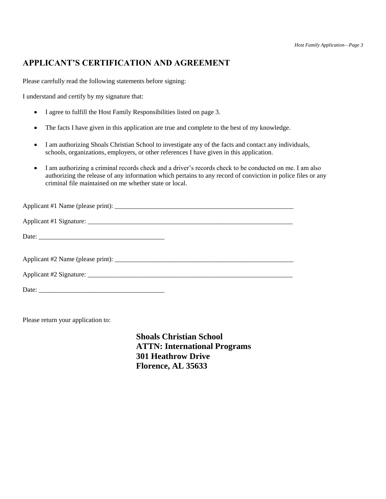# **APPLICANT'S CERTIFICATION AND AGREEMENT**

Please carefully read the following statements before signing:

I understand and certify by my signature that:

- I agree to fulfill the Host Family Responsibilities listed on page 3.
- The facts I have given in this application are true and complete to the best of my knowledge.
- I am authorizing Shoals Christian School to investigate any of the facts and contact any individuals, schools, organizations, employers, or other references I have given in this application.
- I am authorizing a criminal records check and a driver's records check to be conducted on me. I am also authorizing the release of any information which pertains to any record of conviction in police files or any criminal file maintained on me whether state or local.

| Applicant #2 Name (please print): $\frac{1}{2}$ = $\frac{1}{2}$ = $\frac{1}{2}$ = $\frac{1}{2}$ = $\frac{1}{2}$ = $\frac{1}{2}$ = $\frac{1}{2}$ = $\frac{1}{2}$ = $\frac{1}{2}$ = $\frac{1}{2}$ = $\frac{1}{2}$ = $\frac{1}{2}$ = $\frac{1}{2}$ = $\frac{1}{2}$ = $\frac{1}{2}$ = $\frac{1}{2$ |
|------------------------------------------------------------------------------------------------------------------------------------------------------------------------------------------------------------------------------------------------------------------------------------------------|
|                                                                                                                                                                                                                                                                                                |
|                                                                                                                                                                                                                                                                                                |

Please return your application to:

**Shoals Christian School ATTN: International Programs 301 Heathrow Drive Florence, AL 35633**